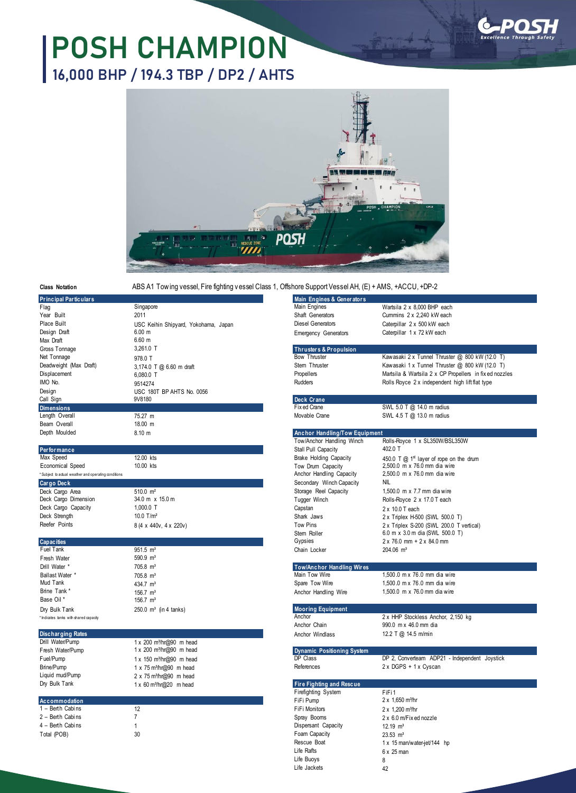## **POSH CHAMPION 16,000 BHP / 194.3 TBP / DP2 / AHTS**



**Class Notation**

ABS A1 Tow ing vessel, Fire fighting v essel Class 1, Offshore Support Vessel AH, (E) + AMS, +ACCU, +DP-2

| <b>Principal Particulars</b>                         |                                      | Main Engines & Generators          |                                                                             |
|------------------------------------------------------|--------------------------------------|------------------------------------|-----------------------------------------------------------------------------|
| Flaq                                                 | Singapore                            | Main Engines                       | Wartsila 2 x 8.000 BHP each                                                 |
| Year Built                                           | 2011                                 | Shaft Generators                   | Cummins 2 x 2,240 kW each                                                   |
| Place Built                                          | USC Keihin Shipyard, Yokohama, Japan | <b>Diesel Generators</b>           | Caterpillar 2 x 500 kW each                                                 |
| Design Draft                                         | 6.00 m                               | <b>Emergency Generators</b>        | Caterpillar 1 x 72 kW each                                                  |
| Max Draft                                            | $6.60$ m                             |                                    |                                                                             |
| Gross Tonnage                                        | 3,261.0 T                            | <b>Thrusters &amp; Propulsion</b>  |                                                                             |
| Net Tonnage                                          | 978.0 T                              | <b>Bow Thruster</b>                | Kawasaki 2 x Tunnel Thruster @ 800 kW (12.0 T)                              |
| Deadweight (Max Draft)                               | 3,174.0 T @ 6.60 m draft             | Stem Thruster                      | Kawasaki 1 x Tunnel Thruster @ 800 kW (12.0 T)                              |
| Displacement                                         | 6,080.0 T                            | Propellers                         | Martsila & Wartsila 2 x CP Propellers in fix ed nozzles                     |
| IMO No.                                              | 9514274                              | <b>Rudders</b>                     | Rolls Royce 2 x independent high lift flat type                             |
| Design                                               | USC 180T BP AHTS No. 0056            |                                    |                                                                             |
| Call Sign                                            | 9V8180                               | Deck Crane                         |                                                                             |
| <b>Dimensions</b>                                    |                                      | Fix ed Crane                       | SWL 5.0 T @ 14.0 m radius                                                   |
| Length Overall                                       | 75.27 m                              | Movable Crane                      | SWL 4.5 T @ 13.0 m radius                                                   |
| Beam Overall                                         | 18.00 m                              |                                    |                                                                             |
| Depth Moulded                                        | 8.10 m                               | Anchor Handling/Tow Equipment      |                                                                             |
|                                                      |                                      | Tow/Anchor Handling Winch          | Rolls-Royce 1 x SL350W/BSL350W                                              |
| Performance                                          |                                      | Stall Pull Capacity                | 402.0 T                                                                     |
| Max Speed                                            | 12.00 kts                            | <b>Brake Holding Capacity</b>      | 450.0 T $@$ 1 <sup>st</sup> layer of rope on the drum                       |
| Economical Speed                                     | 10.00 kts                            | Tow Drum Capacity                  | 2,500.0 m x 76.0 mm dia wire                                                |
| * Subject to actual weather and operating conditions |                                      | Anchor Handling Capacity           | 2.500.0 m x 76.0 mm dia wire                                                |
| <b>Cargo Deck</b>                                    |                                      | Secondary Winch Capacity           | <b>NIL</b>                                                                  |
| Deck Cargo Area                                      | $510.0 \text{ m}^2$                  | Storage Reel Capacity              | 1,500.0 m x 7.7 mm dia wire                                                 |
| Deck Cargo Dimension                                 | 34.0 m x 15.0 m                      | Tugger Winch                       | Rolls-Royce 2 x 17.0 T each                                                 |
| Deck Cargo Capacity                                  | 1.000.0 T                            | Capstan                            | 2 x 10.0 T each                                                             |
| Deck Strength                                        | 10.0 $T/m^2$                         | Shark Jaws                         | 2 x Triplex H-500 (SWL 500.0 T)                                             |
| Reefer Points                                        |                                      | Tow Pins                           |                                                                             |
|                                                      | 8 (4 x 440v, 4 x 220v)               | Stem Roller                        | 2 x Triplex S-200 (SWL 200.0 T vertical)<br>6.0 m x 3.0 m dia (SWL 500.0 T) |
| <b>Capacities</b>                                    |                                      | Gypsies                            | 2 x 76.0 mm + 2 x 84.0 mm                                                   |
| Fuel Tank                                            | $951.5 \text{ m}^3$                  | Chain Locker                       | 204.06 m <sup>3</sup>                                                       |
| Fresh Water                                          | $590.9 \text{ m}^3$                  |                                    |                                                                             |
| Drill Water *                                        | $705.8 \text{ m}^3$                  | <b>Tow/Anchor Handling Wires</b>   |                                                                             |
| Ballast Water *                                      |                                      | Main Tow Wire                      | 1,500.0 m x 76.0 mm dia wire                                                |
| Mud Tank                                             | $705.8 \text{ m}^3$                  | Spare Tow Wire                     | 1.500.0 m x 76.0 mm dia wire                                                |
| Brine Tank'                                          | 434.7 m <sup>3</sup>                 |                                    | 1,500.0 m x 76.0 mm dia wire                                                |
| Base Oil*                                            | $156.7 \text{ m}^3$                  | Anchor Handling Wire               |                                                                             |
|                                                      | $156.7 \text{ m}^3$                  |                                    |                                                                             |
| Dry Bulk Tank                                        | $250.0 \, \text{m}^3$ (in 4 tanks)   | <b>Mooring Equipment</b><br>Anchor | 2 x HHP Stockless Anchor, 2,150 kg                                          |
| * Indicates tanks with shared capacity               |                                      | Anchor Chain                       | 990.0 m x 46.0 mm dia                                                       |
|                                                      |                                      |                                    |                                                                             |
| <b>Discharging Rates</b>                             |                                      | Anchor Windlass                    | 12.2 T @ 14.5 m/min                                                         |
| Drill Water/Pump                                     | 1 x 200 m <sup>3</sup> /hr@90 m head |                                    |                                                                             |
| Fresh Water/Pump                                     | 1 x 200 m <sup>3</sup> /hr@90 m head | <b>Dynamic Positioning System</b>  |                                                                             |
| Fuel/Pump                                            | 1 x 150 m <sup>3</sup> /hr@90 m head | DP Class                           | DP 2, Converteam ADP21 - Independent Joystick                               |
| Brine/Pump                                           | 1 x 75 m <sup>3</sup> /hr@90 m head  | References                         | 2 x DGPS + 1 x Cyscan                                                       |
| Liquid mud/Pump                                      | 2 x 75 m <sup>3</sup> /hr@90 m head  |                                    |                                                                             |
| Dry Bulk Tank                                        | 1 x 60 m <sup>3</sup> /hr@20 m head  | <b>Fire Fighting and Rescue</b>    |                                                                             |
|                                                      |                                      | Firefighting System                | FiFi1                                                                       |
| Accommodation                                        |                                      | FiFi Pump                          | $2 \times 1,650$ m <sup>3</sup> /hr                                         |
| 1 - Berth Cabins                                     | 12                                   | FiFi Monitors                      | $2 \times 1,200$ m <sup>3</sup> /hr                                         |
| 2 - Berth Cabins                                     | $\overline{7}$                       | Spray Booms                        | 2 x 6.0 m/Fixed nozzle                                                      |
| 4 - Berth Cabins                                     | $\mathbf{1}$                         | Dispersant Capacity                | $12.19$ m <sup>3</sup>                                                      |
| Total (POB)                                          | 30                                   | Foam Capacity                      | $23.53 \text{ m}^3$                                                         |
|                                                      |                                      | Rescue Boat                        | 1 x 15 man/water-jet/144 hp                                                 |
|                                                      |                                      | Life Rafts                         | $6 \times 25$ man                                                           |

Life Buoys Life Jackets

8 42